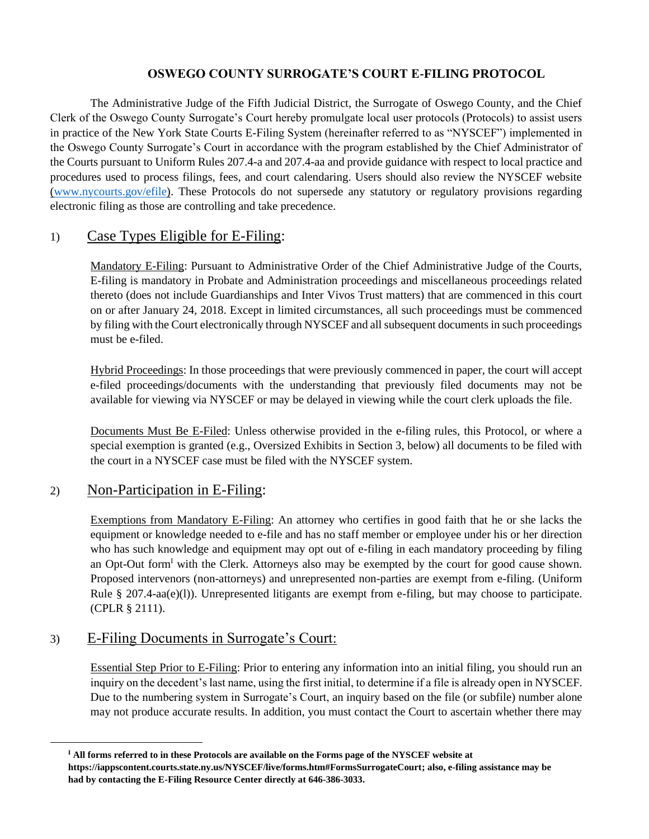# **OSWEGO COUNTY SURROGATE'S COURT E-FILING PROTOCOL**

The Administrative Judge of the Fifth Judicial District, the Surrogate of Oswego County, and the Chief Clerk of the Oswego County Surrogate's Court hereby promulgate local user protocols (Protocols) to assist users in practice of the New York State Courts E-Filing System (hereinafter referred to as "NYSCEF") implemented in the Oswego County Surrogate's Court in accordance with the program established by the Chief Administrator of the Courts pursuant to Uniform Rules 207.4-a and 207.4-aa and provide guidance with respect to local practice and procedures used to process filings, fees, and court calendaring. Users should also review the NYSCEF website [\(www.nycourts.gov/efile\)](http://www.nycourts.gov/efile). These Protocols do not supersede any statutory or regulatory provisions regarding electronic filing as those are controlling and take precedence.

# 1) Case Types Eligible for E-Filing:

Mandatory E-Filing: Pursuant to Administrative Order of the Chief Administrative Judge of the Courts, E-filing is mandatory in Probate and Administration proceedings and miscellaneous proceedings related thereto (does not include Guardianships and Inter Vivos Trust matters) that are commenced in this court on or after January 24, 2018. Except in limited circumstances, all such proceedings must be commenced by filing with the Court electronically through NYSCEF and all subsequent documents in such proceedings must be e-filed.

Hybrid Proceedings: In those proceedings that were previously commenced in paper, the court will accept e-filed proceedings/documents with the understanding that previously filed documents may not be available for viewing via NYSCEF or may be delayed in viewing while the court clerk uploads the file.

Documents Must Be E-Filed: Unless otherwise provided in the e-filing rules, this Protocol, or where a special exemption is granted (e.g., Oversized Exhibits in Section 3, below) all documents to be filed with the court in a NYSCEF case must be filed with the NYSCEF system.

# 2) Non-Participation in E-Filing:

Exemptions from Mandatory E-Filing: An attorney who certifies in good faith that he or she lacks the equipment or knowledge needed to e-file and has no staff member or employee under his or her direction who has such knowledge and equipment may opt out of e-filing in each mandatory proceeding by filing an Opt-Out form<sup>I</sup> with the Clerk. Attorneys also may be exempted by the court for good cause shown. Proposed intervenors (non-attorneys) and unrepresented non-parties are exempt from e-filing. (Uniform Rule § 207.4-aa(e)(l)). Unrepresented litigants are exempt from e-filing, but may choose to participate. (CPLR § 2111).

# 3) E-Filing Documents in Surrogate's Court:

Essential Step Prior to E-Filing: Prior to entering any information into an initial filing, you should run an inquiry on the decedent's last name, using the first initial, to determine if a file is already open in NYSCEF. Due to the numbering system in Surrogate's Court, an inquiry based on the file (or subfile) number alone may not produce accurate results. In addition, you must contact the Court to ascertain whether there may

**<sup>I</sup> All forms referred to in these Protocols are available on the Forms page of the NYSCEF website at https://iappscontent.courts.state.ny.us/NYSCEF/live/forms.htm#FormsSurrogateCourt; also, e-filing assistance may be had by contacting the E-Filing Resource Center directly at 646-386-3033.**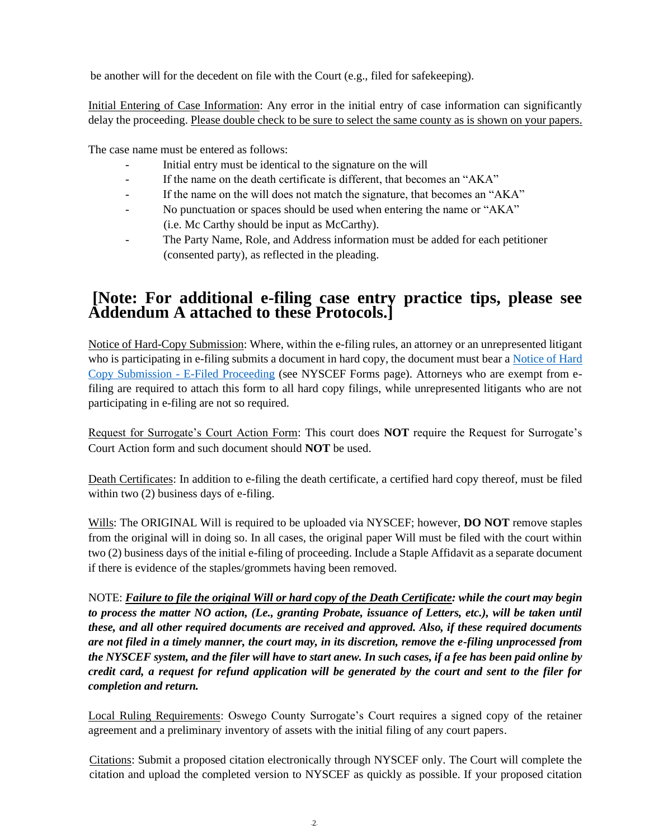be another will for the decedent on file with the Court (e.g., filed for safekeeping).

Initial Entering of Case Information: Any error in the initial entry of case information can significantly delay the proceeding. Please double check to be sure to select the same county as is shown on your papers.

The case name must be entered as follows:

- Initial entry must be identical to the signature on the will
- If the name on the death certificate is different, that becomes an "AKA"
- If the name on the will does not match the signature, that becomes an "AKA"
- No punctuation or spaces should be used when entering the name or "AKA" (i.e. Mc Carthy should be input as McCarthy).
- The Party Name, Role, and Address information must be added for each petitioner (consented party), as reflected in the pleading.

# **[Note: For additional e-filing case entry practice tips, please see Addendum A attached to these Protocols.]**

Notice of Hard-Copy Submission: Where, within the e-filing rules, an attorney or an unrepresented litigant who is participating in e-filing submits a document in hard copy, the document must bear a [Notice of Hard](https://iappscontent.courts.state.ny.us/NYSCEF/live/forms/notice.hard.copy.submission.surr.pdf)  [Copy Submission -](https://iappscontent.courts.state.ny.us/NYSCEF/live/forms/notice.hard.copy.submission.surr.pdf) E-Filed Proceeding (see NYSCEF Forms page). Attorneys who are exempt from efiling are required to attach this form to all hard copy filings, while unrepresented litigants who are not participating in e-filing are not so required.

Request for Surrogate's Court Action Form: This court does **NOT** require the Request for Surrogate's Court Action form and such document should **NOT** be used.

Death Certificates: In addition to e-filing the death certificate, a certified hard copy thereof, must be filed within two  $(2)$  business days of e-filing.

Wills: The ORIGINAL Will is required to be uploaded via NYSCEF; however, **DO NOT** remove staples from the original will in doing so. In all cases, the original paper Will must be filed with the court within two (2) business days of the initial e-filing of proceeding. Include a Staple Affidavit as a separate document if there is evidence of the staples/grommets having been removed.

NOTE: *Failure to file the original Will or hard copy of the Death Certificate: while the court may begin to process the matter NO action, (Le., granting Probate, issuance of Letters, etc.), will be taken until these, and all other required documents are received and approved. Also, if these required documents are not filed in a timely manner, the court may, in its discretion, remove the e-filing unprocessed from the NYSCEF system, and the filer will have to start anew. In such cases, if a fee has been paid online by credit card, a request for refund application will be generated by the court and sent to the filer for completion and return.*

Local Ruling Requirements: Oswego County Surrogate's Court requires a signed copy of the retainer agreement and a preliminary inventory of assets with the initial filing of any court papers.

Citations: Submit a proposed citation electronically through NYSCEF only. The Court will complete the citation and upload the completed version to NYSCEF as quickly as possible. If your proposed citation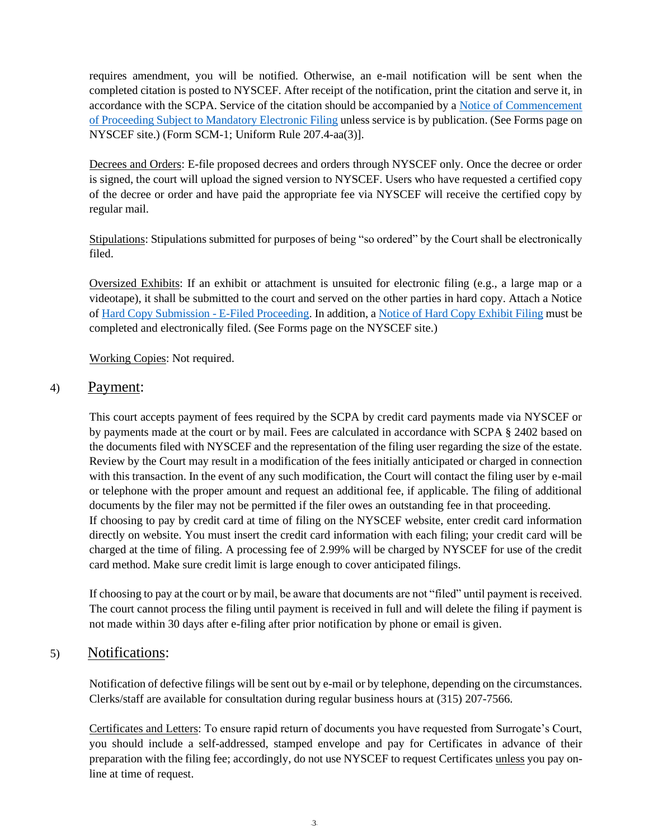requires amendment, you will be notified. Otherwise, an e-mail notification will be sent when the completed citation is posted to NYSCEF. After receipt of the notification, print the citation and serve it, in accordance with the SCPA. Service of the citation should be accompanied by a [Notice of Commencement](https://iappscontent.courts.state.ny.us/NYSCEF/live/forms/notice.of.commencement.surr.pdf)  [of Proceeding Subject to Mandatory Electronic Filing](https://iappscontent.courts.state.ny.us/NYSCEF/live/forms/notice.of.commencement.surr.pdf) unless service is by publication. (See Forms page on NYSCEF site.) (Form SCM-1; Uniform Rule 207.4-aa(3)].

Decrees and Orders: E-file proposed decrees and orders through NYSCEF only. Once the decree or order is signed, the court will upload the signed version to NYSCEF. Users who have requested a certified copy of the decree or order and have paid the appropriate fee via NYSCEF will receive the certified copy by regular mail.

Stipulations: Stipulations submitted for purposes of being "so ordered" by the Court shall be electronically filed.

Oversized Exhibits: If an exhibit or attachment is unsuited for electronic filing (e.g., a large map or a videotape), it shall be submitted to the court and served on the other parties in hard copy. Attach a Notice of [Hard Copy Submission -](https://iappscontent.courts.state.ny.us/NYSCEF/live/forms/notice.hard.copy.submission.surr.pdf) E-Filed Proceeding. In addition, a [Notice of Hard Copy Exhibit](https://iappscontent.courts.state.ny.us/NYSCEF/live/forms/notice.hard.copy.exhibit.surr.pdf) Filing must be completed and electronically filed. (See Forms page on the NYSCEF site.)

Working Copies: Not required.

# 4) Payment:

This court accepts payment of fees required by the SCPA by credit card payments made via NYSCEF or by payments made at the court or by mail. Fees are calculated in accordance with SCPA § 2402 based on the documents filed with NYSCEF and the representation of the filing user regarding the size of the estate. Review by the Court may result in a modification of the fees initially anticipated or charged in connection with this transaction. In the event of any such modification, the Court will contact the filing user by e-mail or telephone with the proper amount and request an additional fee, if applicable. The filing of additional documents by the filer may not be permitted if the filer owes an outstanding fee in that proceeding. If choosing to pay by credit card at time of filing on the NYSCEF website, enter credit card information directly on website. You must insert the credit card information with each filing; your credit card will be charged at the time of filing. A processing fee of 2.99% will be charged by NYSCEF for use of the credit card method. Make sure credit limit is large enough to cover anticipated filings.

If choosing to pay at the court or by mail, be aware that documents are not "filed" until payment is received. The court cannot process the filing until payment is received in full and will delete the filing if payment is not made within 30 days after e-filing after prior notification by phone or email is given.

# 5) Notifications:

Notification of defective filings will be sent out by e-mail or by telephone, depending on the circumstances. Clerks/staff are available for consultation during regular business hours at (315) 207-7566.

Certificates and Letters: To ensure rapid return of documents you have requested from Surrogate's Court, you should include a self-addressed, stamped envelope and pay for Certificates in advance of their preparation with the filing fee; accordingly, do not use NYSCEF to request Certificates unless you pay online at time of request.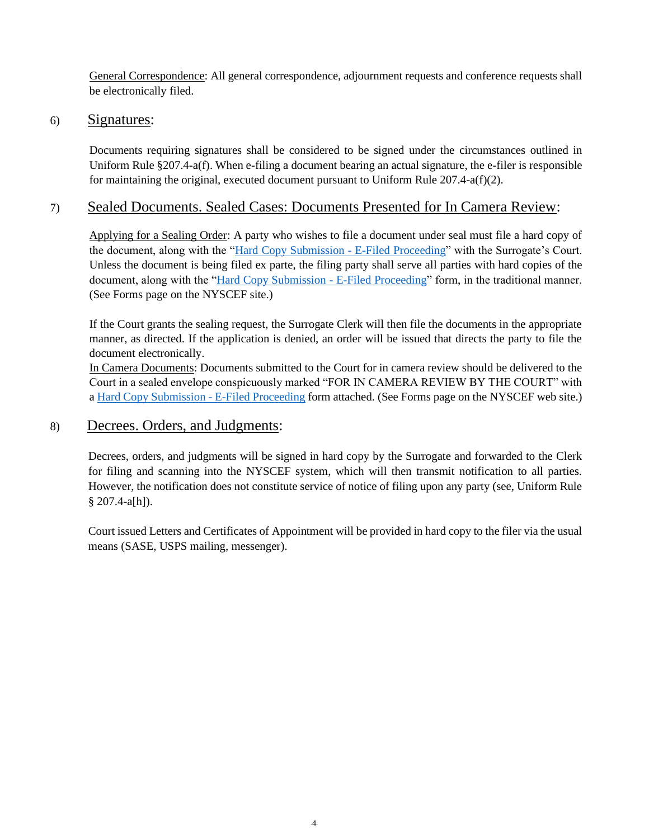General Correspondence: All general correspondence, adjournment requests and conference requests shall be electronically filed.

### 6) Signatures:

Documents requiring signatures shall be considered to be signed under the circumstances outlined in Uniform Rule §207.4-a(f). When e-filing a document bearing an actual signature, the e-filer is responsible for maintaining the original, executed document pursuant to Uniform Rule  $207.4\text{-}a(f)(2)$ .

# 7) Sealed Documents. Sealed Cases: Documents Presented for In Camera Review:

Applying for a Sealing Order: A party who wishes to file a document under seal must file a hard copy of the document, along with the ["Hard Copy Submission -](https://iappscontent.courts.state.ny.us/NYSCEF/live/forms/notice.hard.copy.submission.surr.pdf) E-Filed Proceeding" with the Surrogate's Court. Unless the document is being filed ex parte, the filing party shall serve all parties with hard copies of the document, along with the ["Hard Copy Submission -](https://iappscontent.courts.state.ny.us/NYSCEF/live/forms/notice.hard.copy.submission.surr.pdf) E-Filed Proceeding" form, in the traditional manner. (See Forms page on the NYSCEF site.)

If the Court grants the sealing request, the Surrogate Clerk will then file the documents in the appropriate manner, as directed. If the application is denied, an order will be issued that directs the party to file the document electronically.

In Camera Documents: Documents submitted to the Court for in camera review should be delivered to the Court in a sealed envelope conspicuously marked "FOR IN CAMERA REVIEW BY THE COURT" with a [Hard Copy Submission -](https://iappscontent.courts.state.ny.us/NYSCEF/live/forms/notice.hard.copy.submission.surr.pdf) E-Filed Proceeding form attached. (See Forms page on the NYSCEF web site.)

## 8) Decrees. Orders, and Judgments:

Decrees, orders, and judgments will be signed in hard copy by the Surrogate and forwarded to the Clerk for filing and scanning into the NYSCEF system, which will then transmit notification to all parties. However, the notification does not constitute service of notice of filing upon any party (see, Uniform Rule § 207.4-a[h]).

Court issued Letters and Certificates of Appointment will be provided in hard copy to the filer via the usual means (SASE, USPS mailing, messenger).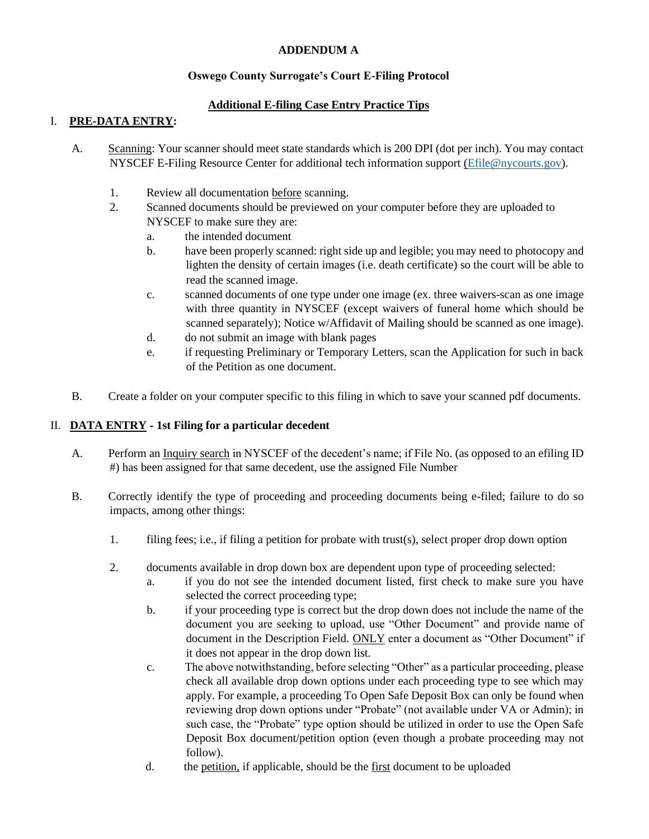#### **ADDENDUM A**

#### **Oswego County Surrogate's Court E-Filing Protocol**

### **Additional E-filing Case Entry Practice Tips**

#### I. **PRE-DATA ENTRY:**

- A. Scanning: Your scanner should meet state standards which is 200 DPI (dot per inch). You may contact NYSCEF E-Filing Resource Center for additional tech information support [\(Efile@nycourts.gov\)](mailto:Efile@nycourts.gov).
	- 1. Review all documentation before scanning.
	- 2. Scanned documents should be previewed on your computer before they are uploaded to NYSCEF to make sure they are:
		- a. the intended document
		- b. have been properly scanned: right side up and legible; you may need to photocopy and lighten the density of certain images (i.e. death certificate) so the court will be able to read the scanned image.
		- c. scanned documents of one type under one image (ex. three waivers-scan as one image with three quantity in NYSCEF (except waivers of funeral home which should be scanned separately); Notice w/Affidavit of Mailing should be scanned as one image).
		- d. do not submit an image with blank pages
		- e. if requesting Preliminary or Temporary Letters, scan the Application for such in back of the Petition as one document.
- B. Create a folder on your computer specific to this filing in which to save your scanned pdf documents.

#### II. **DATA ENTRY - 1st Filing for a particular decedent**

- A. Perform an Inquiry search in NYSCEF of the decedent's name; if File No. (as opposed to an efiling ID #) has been assigned for that same decedent, use the assigned File Number
- B. Correctly identify the type of proceeding and proceeding documents being e-filed; failure to do so impacts, among other things:
	- 1. filing fees; i.e., if filing a petition for probate with trust(s), select proper drop down option
	- 2. documents available in drop down box are dependent upon type of proceeding selected:
		- a. if you do not see the intended document listed, first check to make sure you have selected the correct proceeding type;
		- b. if your proceeding type is correct but the drop down does not include the name of the document you are seeking to upload, use "Other Document" and provide name of document in the Description Field. ONLY enter a document as "Other Document" if it does not appear in the drop down list.
		- c. The above notwithstanding, before selecting "Other" as a particular proceeding, please check all available drop down options under each proceeding type to see which may apply. For example, a proceeding To Open Safe Deposit Box can only be found when reviewing drop down options under "Probate" (not available under VA or Admin); in such case, the "Probate" type option should be utilized in order to use the Open Safe Deposit Box document/petition option (even though a probate proceeding may not follow).
		- d. the petition, if applicable, should be the <u>first</u> document to be uploaded